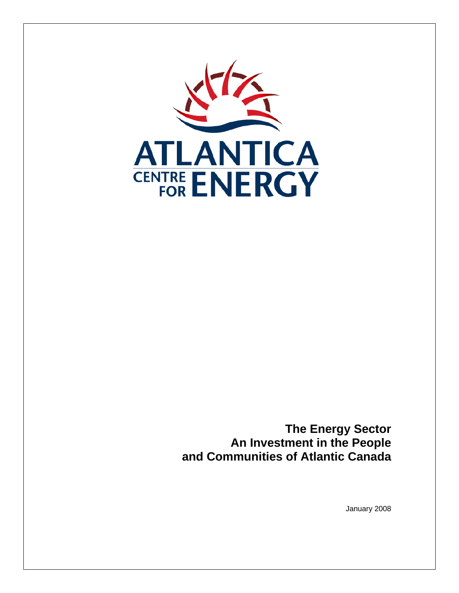

**The Energy Sector An Investment in the People and Communities of Atlantic Canada** 

January 2008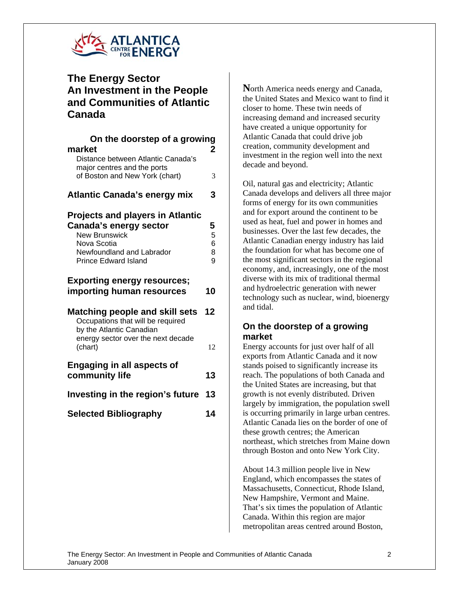

# **The Energy Sector An Investment in the People and Communities of Atlantic Canada**

| On the doorstep of a growing<br>market                                                                                                                               | 2                     |
|----------------------------------------------------------------------------------------------------------------------------------------------------------------------|-----------------------|
| Distance between Atlantic Canada's<br>major centres and the ports<br>of Boston and New York (chart)                                                                  | 3                     |
| <b>Atlantic Canada's energy mix</b>                                                                                                                                  | 3                     |
| <b>Projects and players in Atlantic</b><br>Canada's energy sector<br><b>New Brunswick</b><br>Nova Scotia<br>Newfoundland and Labrador<br><b>Prince Edward Island</b> | 5<br>5<br>6<br>8<br>9 |
| <b>Exporting energy resources;</b><br>importing human resources                                                                                                      | 10                    |
| <b>Matching people and skill sets</b><br>Occupations that will be required<br>by the Atlantic Canadian                                                               | 12                    |
| energy sector over the next decade<br>(chart)                                                                                                                        | 12                    |
| <b>Engaging in all aspects of</b><br>community life                                                                                                                  | 13                    |
| Investing in the region's future                                                                                                                                     | 13                    |
| <b>Selected Bibliography</b>                                                                                                                                         | 14                    |
|                                                                                                                                                                      |                       |
|                                                                                                                                                                      |                       |

**N**orth America needs energy and Canada, the United States and Mexico want to find it closer to home. These twin needs of increasing demand and increased security have created a unique opportunity for Atlantic Canada that could drive job creation, community development and investment in the region well into the next decade and beyond.

Oil, natural gas and electricity; Atlantic Canada develops and delivers all three major forms of energy for its own communities and for export around the continent to be used as heat, fuel and power in homes and businesses. Over the last few decades, the Atlantic Canadian energy industry has laid the foundation for what has become one of the most significant sectors in the regional economy, and, increasingly, one of the most diverse with its mix of traditional thermal and hydroelectric generation with newer technology such as nuclear, wind, bioenergy and tidal.

## **On the doorstep of a growing market**

Energy accounts for just over half of all exports from Atlantic Canada and it now stands poised to significantly increase its reach. The populations of both Canada and the United States are increasing, but that growth is not evenly distributed. Driven largely by immigration, the population swell is occurring primarily in large urban centres. Atlantic Canada lies on the border of one of these growth centres; the American northeast, which stretches from Maine down through Boston and onto New York City.

About 14.3 million people live in New England, which encompasses the states of Massachusetts, Connecticut, Rhode Island, New Hampshire, Vermont and Maine. That's six times the population of Atlantic Canada. Within this region are major metropolitan areas centred around Boston,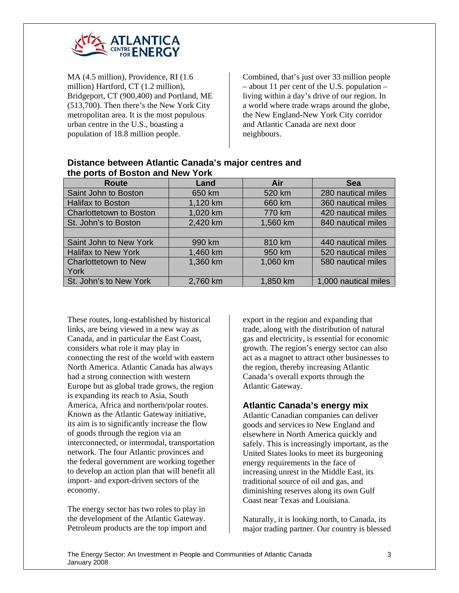

MA (4.5 million), Providence, RI (1.6 million) Hartford, CT (1.2 million), Bridgeport, CT (900,400) and Portland, ME (513,700). Then there's the New York City metropolitan area. It is the most populous urban centre in the U.S., boasting a population of 18.8 million people.

Combined, that's just over 33 million people – about 11 per cent of the U.S. population – living within a day's drive of our region. In a world where trade wraps around the globe, the New England-New York City corridor and Atlantic Canada are next door neighbours.

| $\frac{1}{2}$                  |          |          |                      |  |
|--------------------------------|----------|----------|----------------------|--|
| Route                          | Land     | Air      | <b>Sea</b>           |  |
| Saint John to Boston           | 650 km   | 520 km   | 280 nautical miles   |  |
| <b>Halifax to Boston</b>       | 1,120 km | 660 km   | 360 nautical miles   |  |
| <b>Charlottetown to Boston</b> | 1,020 km | 770 km   | 420 nautical miles   |  |
| St. John's to Boston           | 2,420 km | 1,560 km | 840 nautical miles   |  |
|                                |          |          |                      |  |
| Saint John to New York         | 990 km   | 810 km   | 440 nautical miles   |  |
| <b>Halifax to New York</b>     | 1,460 km | 950 km   | 520 nautical miles   |  |
| <b>Charlottetown to New</b>    | 1,360 km | 1,060 km | 580 nautical miles   |  |
| York                           |          |          |                      |  |
| St. John's to New York         | 2,760 km | 1,850 km | 1,000 nautical miles |  |

#### **Distance between Atlantic Canada's major centres and the ports of Boston and New York**

These routes, long-established by historical links, are being viewed in a new way as Canada, and in particular the East Coast, considers what role it may play in connecting the rest of the world with eastern North America. Atlantic Canada has always had a strong connection with western Europe but as global trade grows, the region is expanding its reach to Asia, South America, Africa and northern/polar routes. Known as the Atlantic Gateway initiative, its aim is to significantly increase the flow of goods through the region via an interconnected, or intermodal, transportation network. The four Atlantic provinces and the federal government are working together to develop an action plan that will benefit all import- and export-driven sectors of the economy.

The energy sector has two roles to play in the development of the Atlantic Gateway. Petroleum products are the top import and export in the region and expanding that trade, along with the distribution of natural gas and electricity, is essential for economic growth. The region's energy sector can also act as a magnet to attract other businesses to the region, thereby increasing Atlantic Canada's overall exports through the Atlantic Gateway.

## **Atlantic Canada's energy mix**

Atlantic Canadian companies can deliver goods and services to New England and elsewhere in North America quickly and safely. This is increasingly important, as the United States looks to meet its burgeoning energy requirements in the face of increasing unrest in the Middle East, its traditional source of oil and gas, and diminishing reserves along its own Gulf Coast near Texas and Louisiana.

Naturally, it is looking north, to Canada, its major trading partner. Our country is blessed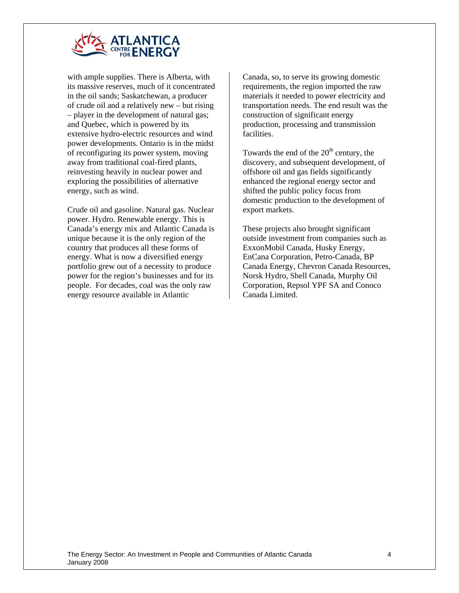

with ample supplies. There is Alberta, with its massive reserves, much of it concentrated in the oil sands; Saskatchewan, a producer of crude oil and a relatively new – but rising – player in the development of natural gas; and Quebec, which is powered by its extensive hydro-electric resources and wind power developments. Ontario is in the midst of reconfiguring its power system, moving away from traditional coal-fired plants, reinvesting heavily in nuclear power and exploring the possibilities of alternative energy, such as wind.

Crude oil and gasoline. Natural gas. Nuclear power. Hydro. Renewable energy. This is Canada's energy mix and Atlantic Canada is unique because it is the only region of the country that produces all these forms of energy. What is now a diversified energy portfolio grew out of a necessity to produce power for the region's businesses and for its people. For decades, coal was the only raw energy resource available in Atlantic

Canada, so, to serve its growing domestic requirements, the region imported the raw materials it needed to power electricity and transportation needs. The end result was the construction of significant energy production, processing and transmission facilities.

Towards the end of the  $20<sup>th</sup>$  century, the discovery, and subsequent development, of offshore oil and gas fields significantly enhanced the regional energy sector and shifted the public policy focus from domestic production to the development of export markets.

These projects also brought significant outside investment from companies such as ExxonMobil Canada, Husky Energy, EnCana Corporation, Petro-Canada, BP Canada Energy, Chevron Canada Resources, Norsk Hydro, Shell Canada, Murphy Oil Corporation, Repsol YPF SA and Conoco Canada Limited.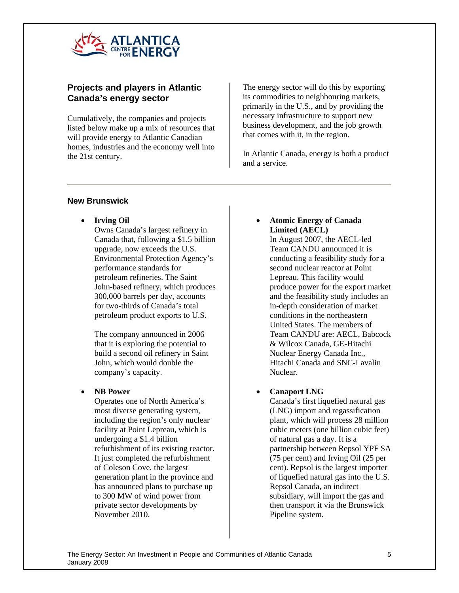

## **Projects and players in Atlantic Canada's energy sector**

Cumulatively, the companies and projects listed below make up a mix of resources that will provide energy to Atlantic Canadian homes, industries and the economy well into the 21st century.

The energy sector will do this by exporting its commodities to neighbouring markets, primarily in the U.S., and by providing the necessary infrastructure to support new business development, and the job growth that comes with it, in the region.

In Atlantic Canada, energy is both a product and a service.

### **New Brunswick**

• **Irving Oil** 

Owns Canada's largest refinery in Canada that, following a \$1.5 billion upgrade, now exceeds the U.S. Environmental Protection Agency's performance standards for petroleum refineries. The Saint John-based refinery, which produces 300,000 barrels per day, accounts for two-thirds of Canada's total petroleum product exports to U.S.

The company announced in 2006 that it is exploring the potential to build a second oil refinery in Saint John, which would double the company's capacity.

### • **NB Power**

Operates one of North America's most diverse generating system, including the region's only nuclear facility at Point Lepreau, which is undergoing a \$1.4 billion refurbishment of its existing reactor. It just completed the refurbishment of Coleson Cove, the largest generation plant in the province and has announced plans to purchase up to 300 MW of wind power from private sector developments by November 2010.

## • **Atomic Energy of Canada Limited (AECL)**

In August 2007, the AECL-led Team CANDU announced it is conducting a feasibility study for a second nuclear reactor at Point Lepreau. This facility would produce power for the export market and the feasibility study includes an in-depth consideration of market conditions in the northeastern United States. The members of Team CANDU are: AECL, Babcock & Wilcox Canada, GE-Hitachi Nuclear Energy Canada Inc., Hitachi Canada and SNC-Lavalin Nuclear.

## • **Canaport LNG**

Canada's first liquefied natural gas (LNG) import and regassification plant, which will process 28 million cubic meters (one billion cubic feet) of natural gas a day. It is a partnership between Repsol YPF SA (75 per cent) and Irving Oil (25 per cent). Repsol is the largest importer of liquefied natural gas into the U.S. Repsol Canada, an indirect subsidiary, will import the gas and then transport it via the Brunswick Pipeline system.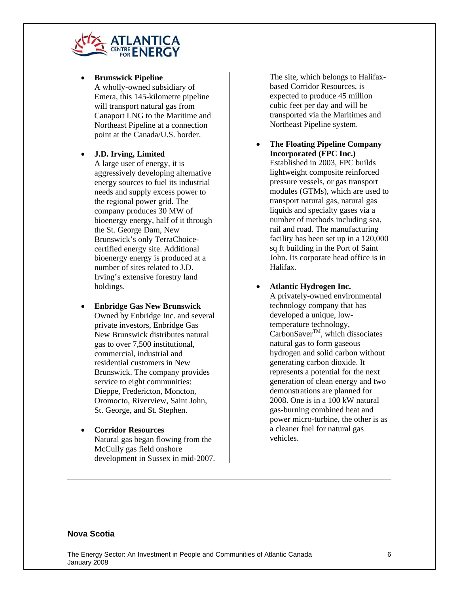

#### • **Brunswick Pipeline**

A wholly-owned subsidiary of Emera, this 145-kilometre pipeline will transport natural gas from Canaport LNG to the Maritime and Northeast Pipeline at a connection point at the Canada/U.S. border.

### • **J.D. Irving, Limited**

A large user of energy, it is aggressively developing alternative energy sources to fuel its industrial needs and supply excess power to the regional power grid. The company produces 30 MW of bioenergy energy, half of it through the St. George Dam, New Brunswick's only TerraChoicecertified energy site. Additional bioenergy energy is produced at a number of sites related to J.D. Irving's extensive forestry land holdings.

- **Enbridge Gas New Brunswick**  Owned by Enbridge Inc. and several private investors, Enbridge Gas New Brunswick distributes natural gas to over 7,500 institutional, commercial, industrial and residential customers in New Brunswick. The company provides service to eight communities: Dieppe, Fredericton, Moncton, Oromocto, Riverview, Saint John, St. George, and St. Stephen.
- **Corridor Resources**  Natural gas began flowing from the McCully gas field onshore development in Sussex in mid-2007.

The site, which belongs to Halifaxbased Corridor Resources, is expected to produce 45 million cubic feet per day and will be transported via the Maritimes and Northeast Pipeline system.

- **The Floating Pipeline Company Incorporated (FPC Inc.)**  Established in 2003, FPC builds lightweight composite reinforced pressure vessels, or gas transport modules (GTMs), which are used to transport natural gas, natural gas liquids and specialty gases via a number of methods including sea, rail and road. The manufacturing facility has been set up in a 120,000 sq ft building in the Port of Saint John. Its corporate head office is in Halifax.
- **Atlantic Hydrogen Inc.**

A privately-owned environmental technology company that has developed a unique, lowtemperature technology,  $CarbonSaver<sup>TM</sup>$ , which dissociates natural gas to form gaseous hydrogen and solid carbon without generating carbon dioxide. It represents a potential for the next generation of clean energy and two demonstrations are planned for 2008. One is in a 100 kW natural gas-burning combined heat and power micro-turbine, the other is as a cleaner fuel for natural gas vehicles.

#### **Nova Scotia**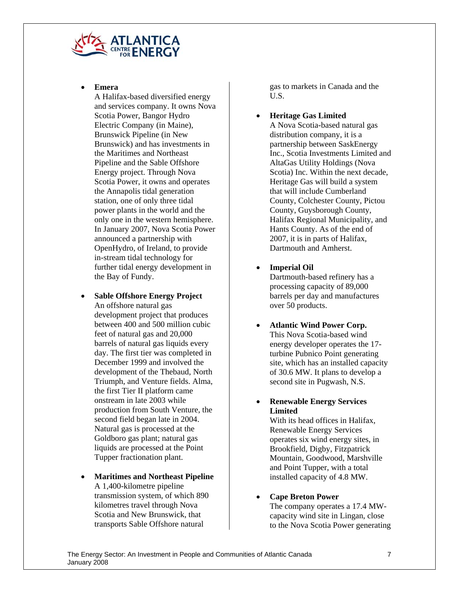

• **Emera** 

A Halifax-based diversified energy and services company. It owns Nova Scotia Power, Bangor Hydro Electric Company (in Maine), Brunswick Pipeline (in New Brunswick) and has investments in the Maritimes and Northeast Pipeline and the Sable Offshore Energy project. Through Nova Scotia Power, it owns and operates the Annapolis tidal generation station, one of only three tidal power plants in the world and the only one in the western hemisphere. In January 2007, Nova Scotia Power announced a partnership with OpenHydro, of Ireland, to provide in-stream tidal technology for further tidal energy development in the Bay of Fundy.

• **Sable Offshore Energy Project** 

An offshore natural gas development project that produces between 400 and 500 million cubic feet of natural gas and 20,000 barrels of natural gas liquids every day. The first tier was completed in December 1999 and involved the development of the Thebaud, North Triumph, and Venture fields. Alma, the first Tier II platform came onstream in late 2003 while production from South Venture, the second field began late in 2004. Natural gas is processed at the Goldboro gas plant; natural gas liquids are processed at the Point Tupper fractionation plant.

• **Maritimes and Northeast Pipeline**  A 1,400-kilometre pipeline transmission system, of which 890 kilometres travel through Nova Scotia and New Brunswick, that transports Sable Offshore natural

gas to markets in Canada and the U.S.

- **Heritage Gas Limited**  A Nova Scotia-based natural gas distribution company, it is a partnership between SaskEnergy Inc., Scotia Investments Limited and AltaGas Utility Holdings (Nova Scotia) Inc. Within the next decade, Heritage Gas will build a system that will include Cumberland County, Colchester County, Pictou County, Guysborough County, Halifax Regional Municipality, and Hants County. As of the end of 2007, it is in parts of Halifax, Dartmouth and Amherst.
- **Imperial Oil**

Dartmouth-based refinery has a processing capacity of 89,000 barrels per day and manufactures over 50 products.

- **Atlantic Wind Power Corp.**  This Nova Scotia-based wind energy developer operates the 17 turbine Pubnico Point generating site, which has an installed capacity of 30.6 MW. It plans to develop a second site in Pugwash, N.S.
- **Renewable Energy Services Limited**

With its head offices in Halifax, Renewable Energy Services operates six wind energy sites, in Brookfield, Digby, Fitzpatrick Mountain, Goodwood, Marshville and Point Tupper, with a total installed capacity of 4.8 MW.

## • **Cape Breton Power**

The company operates a 17.4 MWcapacity wind site in Lingan, close to the Nova Scotia Power generating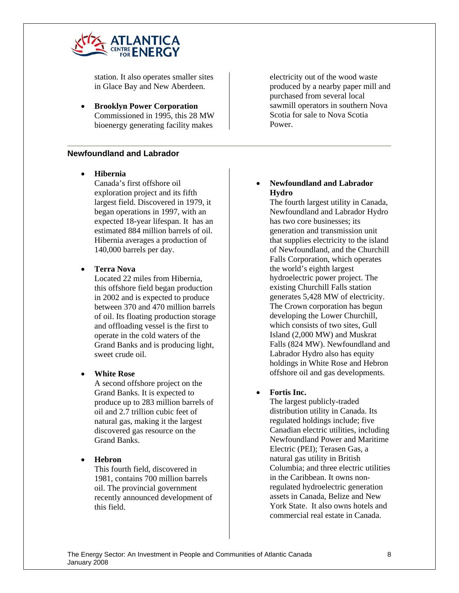

station. It also operates smaller sites in Glace Bay and New Aberdeen.

• **Brooklyn Power Corporation**  Commissioned in 1995, this 28 MW bioenergy generating facility makes

### **Newfoundland and Labrador**

• **Hibernia** 

Canada's first offshore oil exploration project and its fifth largest field. Discovered in 1979, it began operations in 1997, with an expected 18-year lifespan. It has an estimated 884 million barrels of oil. Hibernia averages a production of 140,000 barrels per day.

#### • **Terra Nova**

Located 22 miles from Hibernia, this offshore field began production in 2002 and is expected to produce between 370 and 470 million barrels of oil. Its floating production storage and offloading vessel is the first to operate in the cold waters of the Grand Banks and is producing light, sweet crude oil.

#### • **White Rose**

A second offshore project on the Grand Banks. It is expected to produce up to 283 million barrels of oil and 2.7 trillion cubic feet of natural gas, making it the largest discovered gas resource on the Grand Banks.

#### • **Hebron**

This fourth field, discovered in 1981, contains 700 million barrels oil. The provincial government recently announced development of this field.

electricity out of the wood waste produced by a nearby paper mill and purchased from several local sawmill operators in southern Nova Scotia for sale to Nova Scotia Power.

### • **Newfoundland and Labrador Hydro**

The fourth largest utility in Canada, Newfoundland and Labrador Hydro has two core businesses; its generation and transmission unit that supplies electricity to the island of Newfoundland, and the Churchill Falls Corporation, which operates the world's eighth largest hydroelectric power project. The existing Churchill Falls station generates 5,428 MW of electricity. The Crown corporation has begun developing the Lower Churchill, which consists of two sites, Gull Island (2,000 MW) and Muskrat Falls (824 MW). Newfoundland and Labrador Hydro also has equity holdings in White Rose and Hebron offshore oil and gas developments.

#### • **Fortis Inc.**

The largest publicly-traded distribution utility in Canada. Its regulated holdings include; five Canadian electric utilities, including Newfoundland Power and Maritime Electric (PEI); Terasen Gas, a natural gas utility in British Columbia; and three electric utilities in the Caribbean. It owns nonregulated hydroelectric generation assets in Canada, Belize and New York State. It also owns hotels and commercial real estate in Canada.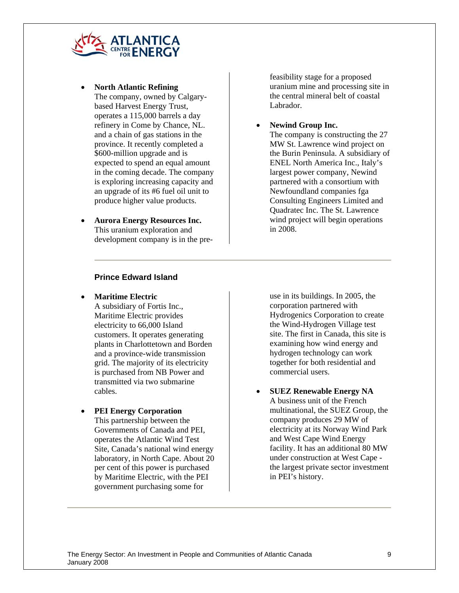

- **North Atlantic Refining**  The company, owned by Calgarybased Harvest Energy Trust, operates a 115,000 barrels a day refinery in Come by Chance, NL. and a chain of gas stations in the province. It recently completed a \$600-million upgrade and is expected to spend an equal amount in the coming decade. The company is exploring increasing capacity and an upgrade of its #6 fuel oil unit to produce higher value products.
- **Aurora Energy Resources Inc.**  This uranium exploration and development company is in the pre-

feasibility stage for a proposed uranium mine and processing site in the central mineral belt of coastal Labrador.

• **Newind Group Inc.** 

The company is constructing the 27 MW St. Lawrence wind project on the Burin Peninsula. A subsidiary of ENEL North America Inc., Italy's largest power company, Newind partnered with a consortium with Newfoundland companies fga Consulting Engineers Limited and Quadratec Inc. The St. Lawrence wind project will begin operations in 2008.

### **Prince Edward Island**

• **Maritime Electric** 

A subsidiary of Fortis Inc., Maritime Electric provides electricity to 66,000 Island customers. It operates generating plants in Charlottetown and Borden and a province-wide transmission grid. The majority of its electricity is purchased from NB Power and transmitted via two submarine cables.

### • **PEI Energy Corporation**

This partnership between the Governments of Canada and PEI, operates the Atlantic Wind Test Site, Canada's national wind energy laboratory, in North Cape. About 20 per cent of this power is purchased by Maritime Electric, with the PEI government purchasing some for

use in its buildings. In 2005, the corporation partnered with Hydrogenics Corporation to create the Wind-Hydrogen Village test site. The first in Canada, this site is examining how wind energy and hydrogen technology can work together for both residential and commercial users.

• **SUEZ Renewable Energy NA**  A business unit of the French multinational, the SUEZ Group, the company produces 29 MW of electricity at its Norway Wind Park and West Cape Wind Energy facility. It has an additional 80 MW under construction at West Cape the largest private sector investment in PEI's history.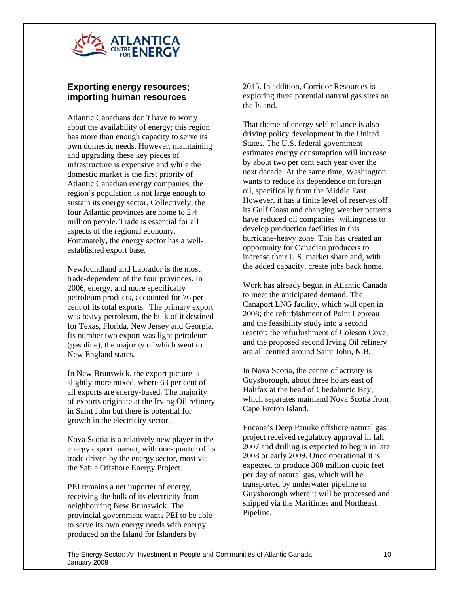

## **Exporting energy resources; importing human resources**

Atlantic Canadians don't have to worry about the availability of energy; this region has more than enough capacity to serve its own domestic needs. However, maintaining and upgrading these key pieces of infrastructure is expensive and while the domestic market is the first priority of Atlantic Canadian energy companies, the region's population is not large enough to sustain its energy sector. Collectively, the four Atlantic provinces are home to 2.4 million people. Trade is essential for all aspects of the regional economy. Fortunately, the energy sector has a wellestablished export base.

Newfoundland and Labrador is the most trade-dependent of the four provinces. In 2006, energy, and more specifically petroleum products, accounted for 76 per cent of its total exports. The primary export was heavy petroleum, the bulk of it destined for Texas, Florida, New Jersey and Georgia. Its number two export was light petroleum (gasoline), the majority of which went to New England states.

In New Brunswick, the export picture is slightly more mixed, where 63 per cent of all exports are energy-based. The majority of exports originate at the Irving Oil refinery in Saint John but there is potential for growth in the electricity sector.

Nova Scotia is a relatively new player in the energy export market, with one-quarter of its trade driven by the energy sector, most via the Sable Offshore Energy Project.

PEI remains a net importer of energy, receiving the bulk of its electricity from neighbouring New Brunswick. The provincial government wants PEI to be able to serve its own energy needs with energy produced on the Island for Islanders by

2015. In addition, Corridor Resources is exploring three potential natural gas sites on the Island.

That theme of energy self-reliance is also driving policy development in the United States. The U.S. federal government estimates energy consumption will increase by about two per cent each year over the next decade. At the same time, Washington wants to reduce its dependence on foreign oil, specifically from the Middle East. However, it has a finite level of reserves off its Gulf Coast and changing weather patterns have reduced oil companies' willingness to develop production facilities in this hurricane-heavy zone. This has created an opportunity for Canadian producers to increase their U.S. market share and, with the added capacity, create jobs back home.

Work has already begun in Atlantic Canada to meet the anticipated demand. The Canaport LNG facility, which will open in 2008; the refurbishment of Point Lepreau and the feasibility study into a second reactor; the refurbishment of Coleson Cove; and the proposed second Irving Oil refinery are all centred around Saint John, N.B.

In Nova Scotia, the centre of activity is Guysborough, about three hours east of Halifax at the head of Chedabucto Bay, which separates mainland Nova Scotia from Cape Breton Island.

Encana's Deep Panuke offshore natural gas project received regulatory approval in fall 2007 and drilling is expected to begin in late 2008 or early 2009. Once operational it is expected to produce 300 million cubic feet per day of natural gas, which will be transported by underwater pipeline to Guysborough where it will be processed and shipped via the Maritimes and Northeast Pipeline.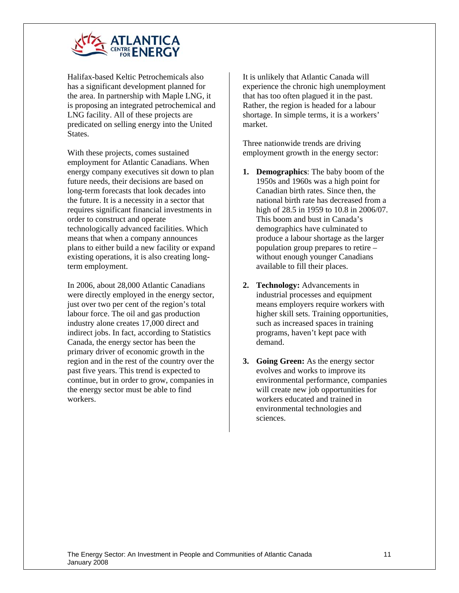

Halifax-based Keltic Petrochemicals also has a significant development planned for the area. In partnership with Maple LNG, it is proposing an integrated petrochemical and LNG facility. All of these projects are predicated on selling energy into the United States.

With these projects, comes sustained employment for Atlantic Canadians. When energy company executives sit down to plan future needs, their decisions are based on long-term forecasts that look decades into the future. It is a necessity in a sector that requires significant financial investments in order to construct and operate technologically advanced facilities. Which means that when a company announces plans to either build a new facility or expand existing operations, it is also creating longterm employment.

In 2006, about 28,000 Atlantic Canadians were directly employed in the energy sector, just over two per cent of the region's total labour force. The oil and gas production industry alone creates 17,000 direct and indirect jobs. In fact, according to Statistics Canada, the energy sector has been the primary driver of economic growth in the region and in the rest of the country over the past five years. This trend is expected to continue, but in order to grow, companies in the energy sector must be able to find workers.

It is unlikely that Atlantic Canada will experience the chronic high unemployment that has too often plagued it in the past. Rather, the region is headed for a labour shortage. In simple terms, it is a workers' market.

Three nationwide trends are driving employment growth in the energy sector:

- **1. Demographics**: The baby boom of the 1950s and 1960s was a high point for Canadian birth rates. Since then, the national birth rate has decreased from a high of 28.5 in 1959 to 10.8 in 2006/07. This boom and bust in Canada's demographics have culminated to produce a labour shortage as the larger population group prepares to retire – without enough younger Canadians available to fill their places.
- **2. Technology:** Advancements in industrial processes and equipment means employers require workers with higher skill sets. Training opportunities, such as increased spaces in training programs, haven't kept pace with demand.
- **3. Going Green:** As the energy sector evolves and works to improve its environmental performance, companies will create new job opportunities for workers educated and trained in environmental technologies and sciences.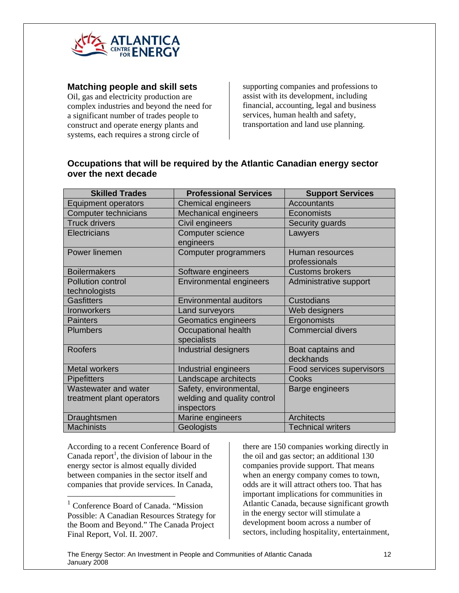

### **Matching people and skill sets**

Oil, gas and electricity production are complex industries and beyond the need for a significant number of trades people to construct and operate energy plants and systems, each requires a strong circle of

supporting companies and professions to assist with its development, including financial, accounting, legal and business services, human health and safety, transportation and land use planning.

## **Occupations that will be required by the Atlantic Canadian energy sector over the next decade**

| <b>Skilled Trades</b>                     | <b>Professional Services</b>       | <b>Support Services</b>          |
|-------------------------------------------|------------------------------------|----------------------------------|
| <b>Equipment operators</b>                | <b>Chemical engineers</b>          | <b>Accountants</b>               |
| <b>Computer technicians</b>               | <b>Mechanical engineers</b>        | Economists                       |
| <b>Truck drivers</b>                      | Civil engineers                    | Security guards                  |
| Electricians                              | Computer science<br>engineers      | Lawyers                          |
| Power linemen                             | Computer programmers               | Human resources<br>professionals |
| <b>Boilermakers</b>                       | Software engineers                 | <b>Customs brokers</b>           |
| <b>Pollution control</b><br>technologists | <b>Environmental engineers</b>     | Administrative support           |
| <b>Gasfitters</b>                         | <b>Environmental auditors</b>      | Custodians                       |
| Ironworkers                               | Land surveyors                     | Web designers                    |
| <b>Painters</b>                           | Geomatics engineers                | Ergonomists                      |
| <b>Plumbers</b>                           | Occupational health<br>specialists | <b>Commercial divers</b>         |
| <b>Roofers</b>                            | <b>Industrial designers</b>        | Boat captains and<br>deckhands   |
| <b>Metal workers</b>                      | Industrial engineers               | Food services supervisors        |
| <b>Pipefitters</b>                        | Landscape architects               | Cooks                            |
| Wastewater and water                      | Safety, environmental,             | Barge engineers                  |
| treatment plant operators                 | welding and quality control        |                                  |
|                                           | inspectors                         |                                  |
| Draughtsmen                               | Marine engineers                   | <b>Architects</b>                |
| <b>Machinists</b>                         | Geologists                         | <b>Technical writers</b>         |

According to a recent Conference Board of Canada report<sup>1</sup>, the division of labour in the energy sector is almost equally divided between companies in the sector itself and companies that provide services. In Canada,

 $\overline{a}$ 

there are 150 companies working directly in the oil and gas sector; an additional 130 companies provide support. That means when an energy company comes to town, odds are it will attract others too. That has important implications for communities in Atlantic Canada, because significant growth in the energy sector will stimulate a development boom across a number of sectors, including hospitality, entertainment,

<sup>&</sup>lt;sup>1</sup> Conference Board of Canada. "Mission" Possible: A Canadian Resources Strategy for the Boom and Beyond." The Canada Project Final Report, Vol. II. 2007.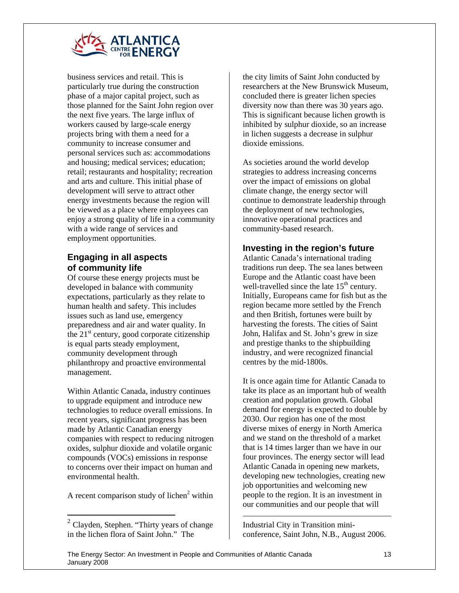

business services and retail. This is particularly true during the construction phase of a major capital project, such as those planned for the Saint John region over the next five years. The large influx of workers caused by large-scale energy projects bring with them a need for a community to increase consumer and personal services such as: accommodations and housing; medical services; education; retail; restaurants and hospitality; recreation and arts and culture. This initial phase of development will serve to attract other energy investments because the region will be viewed as a place where employees can enjoy a strong quality of life in a community with a wide range of services and employment opportunities.

## **Engaging in all aspects of community life**

Of course these energy projects must be developed in balance with community expectations, particularly as they relate to human health and safety. This includes issues such as land use, emergency preparedness and air and water quality. In the  $21<sup>st</sup>$  century, good corporate citizenship is equal parts steady employment, community development through philanthropy and proactive environmental management.

Within Atlantic Canada, industry continues to upgrade equipment and introduce new technologies to reduce overall emissions. In recent years, significant progress has been made by Atlantic Canadian energy companies with respect to reducing nitrogen oxides, sulphur dioxide and volatile organic compounds (VOCs) emissions in response to concerns over their impact on human and environmental health.

A recent comparison study of lichen $2$  within

 $\overline{a}$ 

the city limits of Saint John conducted by researchers at the New Brunswick Museum, concluded there is greater lichen species diversity now than there was 30 years ago. This is significant because lichen growth is inhibited by sulphur dioxide, so an increase in lichen suggests a decrease in sulphur dioxide emissions.

As societies around the world develop strategies to address increasing concerns over the impact of emissions on global climate change, the energy sector will continue to demonstrate leadership through the deployment of new technologies, innovative operational practices and community-based research.

## **Investing in the region's future**

Atlantic Canada's international trading traditions run deep. The sea lanes between Europe and the Atlantic coast have been well-travelled since the late  $15<sup>th</sup>$  century. Initially, Europeans came for fish but as the region became more settled by the French and then British, fortunes were built by harvesting the forests. The cities of Saint John, Halifax and St. John's grew in size and prestige thanks to the shipbuilding industry, and were recognized financial centres by the mid-1800s.

It is once again time for Atlantic Canada to take its place as an important hub of wealth creation and population growth. Global demand for energy is expected to double by 2030. Our region has one of the most diverse mixes of energy in North America and we stand on the threshold of a market that is 14 times larger than we have in our four provinces. The energy sector will lead Atlantic Canada in opening new markets, developing new technologies, creating new job opportunities and welcoming new people to the region. It is an investment in our communities and our people that will

Industrial City in Transition miniconference, Saint John, N.B., August 2006.

 $\overline{a}$ 

 $2^2$  Clayden, Stephen. "Thirty years of change in the lichen flora of Saint John." The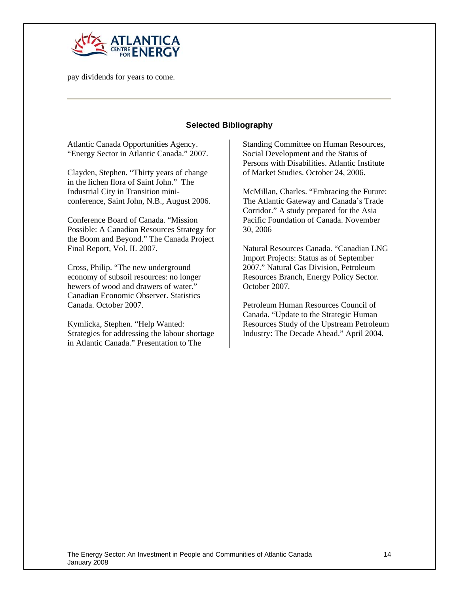

pay dividends for years to come.

### **Selected Bibliography**

Atlantic Canada Opportunities Agency. "Energy Sector in Atlantic Canada." 2007.

Clayden, Stephen. "Thirty years of change in the lichen flora of Saint John." The Industrial City in Transition miniconference, Saint John, N.B., August 2006.

Conference Board of Canada. "Mission Possible: A Canadian Resources Strategy for the Boom and Beyond." The Canada Project Final Report, Vol. II. 2007.

Cross, Philip. "The new underground economy of subsoil resources: no longer hewers of wood and drawers of water." Canadian Economic Observer. Statistics Canada. October 2007.

Kymlicka, Stephen. "Help Wanted: Strategies for addressing the labour shortage in Atlantic Canada." Presentation to The

Standing Committee on Human Resources, Social Development and the Status of Persons with Disabilities. Atlantic Institute of Market Studies. October 24, 2006.

McMillan, Charles. "Embracing the Future: The Atlantic Gateway and Canada's Trade Corridor." A study prepared for the Asia Pacific Foundation of Canada. November 30, 2006

Natural Resources Canada. "Canadian LNG Import Projects: Status as of September 2007." Natural Gas Division, Petroleum Resources Branch, Energy Policy Sector. October 2007.

Petroleum Human Resources Council of Canada. "Update to the Strategic Human Resources Study of the Upstream Petroleum Industry: The Decade Ahead." April 2004.